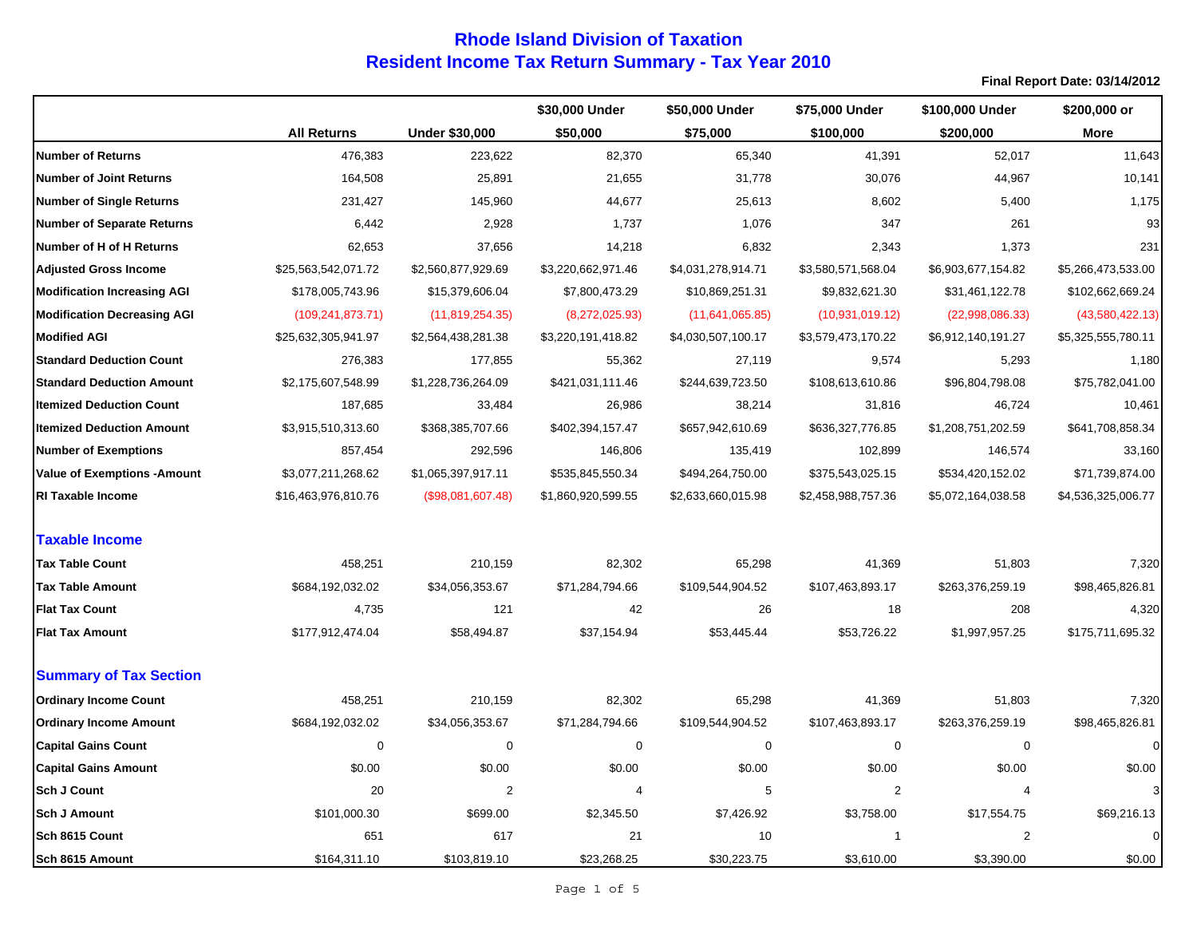|                                     |                     |                       | \$30,000 Under     | \$50,000 Under     | \$75,000 Under     | \$100,000 Under    | \$200,000 or       |
|-------------------------------------|---------------------|-----------------------|--------------------|--------------------|--------------------|--------------------|--------------------|
|                                     | <b>All Returns</b>  | <b>Under \$30,000</b> | \$50,000           | \$75,000           | \$100,000          | \$200,000          | <b>More</b>        |
| <b>Number of Returns</b>            | 476,383             | 223,622               | 82,370             | 65,340             | 41,391             | 52,017             | 11,643             |
| <b>Number of Joint Returns</b>      | 164,508             | 25,891                | 21,655             | 31,778             | 30,076             | 44,967             | 10,141             |
| <b>Number of Single Returns</b>     | 231,427             | 145,960               | 44,677             | 25,613             | 8,602              | 5,400              | 1,175              |
| <b>Number of Separate Returns</b>   | 6,442               | 2,928                 | 1,737              | 1,076              | 347                | 261                | 93                 |
| Number of H of H Returns            | 62,653              | 37,656                | 14,218             | 6,832              | 2,343              | 1,373              | 231                |
| <b>Adjusted Gross Income</b>        | \$25,563,542,071.72 | \$2,560,877,929.69    | \$3,220,662,971.46 | \$4,031,278,914.71 | \$3,580,571,568.04 | \$6,903,677,154.82 | \$5,266,473,533.00 |
| <b>Modification Increasing AGI</b>  | \$178,005,743.96    | \$15,379,606.04       | \$7,800,473.29     | \$10,869,251.31    | \$9,832,621.30     | \$31,461,122.78    | \$102,662,669.24   |
| <b>Modification Decreasing AGI</b>  | (109, 241, 873.71)  | (11, 819, 254.35)     | (8,272,025.93)     | (11,641,065.85)    | (10,931,019.12)    | (22,998,086.33)    | (43,580,422.13)    |
| <b>Modified AGI</b>                 | \$25,632,305,941.97 | \$2,564,438,281.38    | \$3,220,191,418.82 | \$4,030,507,100.17 | \$3,579,473,170.22 | \$6,912,140,191.27 | \$5,325,555,780.11 |
| <b>Standard Deduction Count</b>     | 276,383             | 177,855               | 55,362             | 27,119             | 9,574              | 5,293              | 1,180              |
| <b>Standard Deduction Amount</b>    | \$2,175,607,548.99  | \$1,228,736,264.09    | \$421,031,111.46   | \$244,639,723.50   | \$108,613,610.86   | \$96,804,798.08    | \$75,782,041.00    |
| <b>Itemized Deduction Count</b>     | 187,685             | 33,484                | 26,986             | 38,214             | 31,816             | 46,724             | 10,461             |
| <b>Itemized Deduction Amount</b>    | \$3,915,510,313.60  | \$368,385,707.66      | \$402,394,157.47   | \$657,942,610.69   | \$636,327,776.85   | \$1,208,751,202.59 | \$641,708,858.34   |
| <b>Number of Exemptions</b>         | 857,454             | 292,596               | 146,806            | 135,419            | 102,899            | 146,574            | 33,160             |
| <b>Value of Exemptions - Amount</b> | \$3,077,211,268.62  | \$1,065,397,917.11    | \$535,845,550.34   | \$494,264,750.00   | \$375,543,025.15   | \$534,420,152.02   | \$71,739,874.00    |
| <b>RI Taxable Income</b>            | \$16,463,976,810.76 | (\$98,081,607.48)     | \$1,860,920,599.55 | \$2,633,660,015.98 | \$2,458,988,757.36 | \$5,072,164,038.58 | \$4,536,325,006.77 |
| <b>Taxable Income</b>               |                     |                       |                    |                    |                    |                    |                    |
| <b>Tax Table Count</b>              | 458,251             | 210,159               | 82,302             | 65,298             | 41,369             | 51,803             | 7,320              |
| <b>Tax Table Amount</b>             | \$684,192,032.02    | \$34,056,353.67       | \$71,284,794.66    | \$109,544,904.52   | \$107,463,893.17   | \$263,376,259.19   | \$98,465,826.81    |
| <b>Flat Tax Count</b>               | 4,735               | 121                   | 42                 | 26                 | 18                 | 208                | 4,320              |
| <b>Flat Tax Amount</b>              | \$177,912,474.04    | \$58,494.87           | \$37,154.94        | \$53,445.44        | \$53,726.22        | \$1,997,957.25     | \$175,711,695.32   |
| <b>Summary of Tax Section</b>       |                     |                       |                    |                    |                    |                    |                    |
| <b>Ordinary Income Count</b>        | 458,251             | 210,159               | 82,302             | 65,298             | 41,369             | 51,803             | 7,320              |
| <b>Ordinary Income Amount</b>       | \$684,192,032.02    | \$34,056,353.67       | \$71,284,794.66    | \$109,544,904.52   | \$107,463,893.17   | \$263,376,259.19   | \$98,465,826.81    |
| <b>Capital Gains Count</b>          | 0                   | $\mathbf 0$           | $\mathbf 0$        | $\mathbf 0$        | $\mathbf 0$        | $\mathbf 0$        | $\mathbf 0$        |
| <b>Capital Gains Amount</b>         | \$0.00              | \$0.00                | \$0.00             | \$0.00             | \$0.00             | \$0.00             | \$0.00             |
| <b>Sch J Count</b>                  | 20                  | $\overline{2}$        | $\overline{4}$     | 5                  | $\overline{2}$     | $\overline{4}$     | 3                  |
| <b>Sch J Amount</b>                 | \$101,000.30        | \$699.00              | \$2,345.50         | \$7,426.92         | \$3,758.00         | \$17,554.75        | \$69,216.13        |
| Sch 8615 Count                      | 651                 | 617                   | 21                 | 10                 | $\mathbf{1}$       | $\overline{2}$     | 0                  |
| Sch 8615 Amount                     | \$164,311.10        | \$103,819.10          | \$23,268.25        | \$30,223.75        | \$3,610.00         | \$3,390.00         | \$0.00             |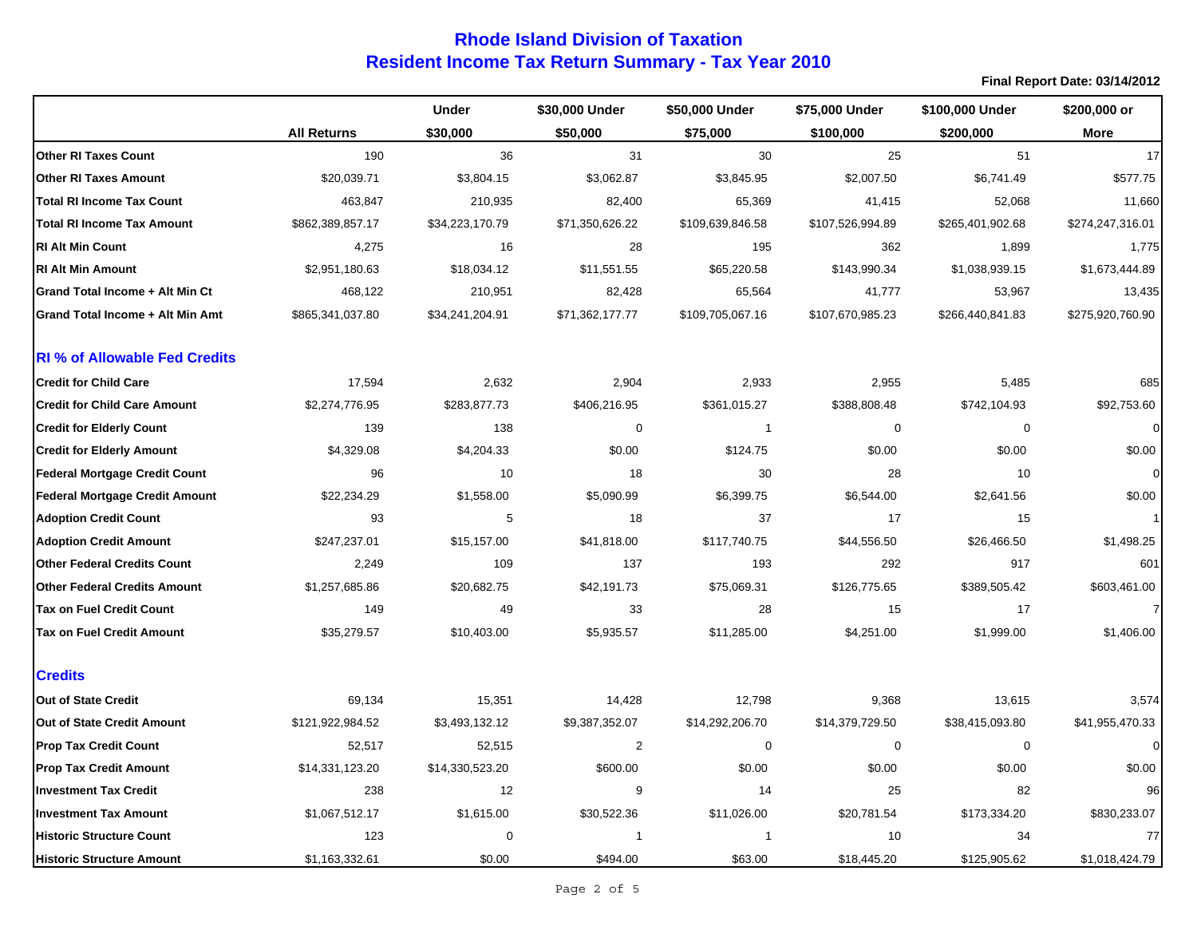|                                       |                    | <b>Under</b>    | \$30,000 Under          | \$50,000 Under   | \$75,000 Under   | \$100,000 Under  | \$200,000 or     |
|---------------------------------------|--------------------|-----------------|-------------------------|------------------|------------------|------------------|------------------|
|                                       | <b>All Returns</b> | \$30,000        | \$50,000                | \$75,000         | \$100,000        | \$200,000        | <b>More</b>      |
| <b>Other RI Taxes Count</b>           | 190                | 36              | 31                      | 30               | 25               | 51               | 17               |
| <b>Other RI Taxes Amount</b>          | \$20,039.71        | \$3,804.15      | \$3,062.87              | \$3,845.95       | \$2,007.50       | \$6,741.49       | \$577.75         |
| <b>Total RI Income Tax Count</b>      | 463,847            | 210,935         | 82,400                  | 65,369           | 41,415           | 52,068           | 11,660           |
| <b>Total RI Income Tax Amount</b>     | \$862,389,857.17   | \$34,223,170.79 | \$71,350,626.22         | \$109,639,846.58 | \$107,526,994.89 | \$265,401,902.68 | \$274,247,316.01 |
| <b>RI Alt Min Count</b>               | 4,275              | 16              | 28                      | 195              | 362              | 1,899            | 1,775            |
| <b>RI Alt Min Amount</b>              | \$2,951,180.63     | \$18,034.12     | \$11,551.55             | \$65,220.58      | \$143,990.34     | \$1,038,939.15   | \$1,673,444.89   |
| Grand Total Income + Alt Min Ct       | 468,122            | 210,951         | 82,428                  | 65,564           | 41,777           | 53,967           | 13,435           |
| Grand Total Income + Alt Min Amt      | \$865,341,037.80   | \$34,241,204.91 | \$71,362,177.77         | \$109,705,067.16 | \$107,670,985.23 | \$266,440,841.83 | \$275,920,760.90 |
| <b>RI</b> % of Allowable Fed Credits  |                    |                 |                         |                  |                  |                  |                  |
| <b>Credit for Child Care</b>          | 17,594             | 2,632           | 2,904                   | 2,933            | 2,955            | 5,485            | 685              |
| <b>Credit for Child Care Amount</b>   | \$2,274,776.95     | \$283,877.73    | \$406,216.95            | \$361,015.27     | \$388,808.48     | \$742,104.93     | \$92,753.60      |
| <b>Credit for Elderly Count</b>       | 139                | 138             | $\mathbf 0$             | $\overline{1}$   | 0                | 0                | $\mathbf 0$      |
| <b>Credit for Elderly Amount</b>      | \$4,329.08         | \$4,204.33      | \$0.00                  | \$124.75         | \$0.00           | \$0.00           | \$0.00           |
| <b>Federal Mortgage Credit Count</b>  | 96                 | 10              | 18                      | 30               | 28               | 10               | $\mathbf 0$      |
| <b>Federal Mortgage Credit Amount</b> | \$22,234.29        | \$1,558.00      | \$5,090.99              | \$6,399.75       | \$6,544.00       | \$2,641.56       | \$0.00           |
| <b>Adoption Credit Count</b>          | 93                 | 5               | 18                      | 37               | 17               | 15               | $\mathbf{1}$     |
| <b>Adoption Credit Amount</b>         | \$247,237.01       | \$15,157.00     | \$41,818.00             | \$117,740.75     | \$44,556.50      | \$26,466.50      | \$1,498.25       |
| <b>Other Federal Credits Count</b>    | 2,249              | 109             | 137                     | 193              | 292              | 917              | 601              |
| <b>Other Federal Credits Amount</b>   | \$1,257,685.86     | \$20,682.75     | \$42,191.73             | \$75,069.31      | \$126,775.65     | \$389,505.42     | \$603,461.00     |
| Tax on Fuel Credit Count              | 149                | 49              | 33                      | 28               | 15               | 17               | $\overline{7}$   |
| <b>Tax on Fuel Credit Amount</b>      | \$35,279.57        | \$10,403.00     | \$5,935.57              | \$11,285.00      | \$4,251.00       | \$1,999.00       | \$1,406.00       |
| <b>Credits</b>                        |                    |                 |                         |                  |                  |                  |                  |
| Out of State Credit                   | 69,134             | 15,351          | 14,428                  | 12,798           | 9,368            | 13,615           | 3,574            |
| Out of State Credit Amount            | \$121,922,984.52   | \$3,493,132.12  | \$9,387,352.07          | \$14,292,206.70  | \$14,379,729.50  | \$38,415,093.80  | \$41,955,470.33  |
| <b>Prop Tax Credit Count</b>          | 52,517             | 52,515          | $\sqrt{2}$              | 0                | 0                | 0                | $\mathbf 0$      |
| <b>Prop Tax Credit Amount</b>         | \$14,331,123.20    | \$14,330,523.20 | \$600.00                | \$0.00           | \$0.00           | \$0.00           | \$0.00           |
| <b>Investment Tax Credit</b>          | 238                | 12              | 9                       | 14               | 25               | 82               | 96               |
| <b>Investment Tax Amount</b>          | \$1,067,512.17     | \$1,615.00      | \$30,522.36             | \$11,026.00      | \$20,781.54      | \$173,334.20     | \$830,233.07     |
| <b>Historic Structure Count</b>       | 123                | $\mathbf 0$     | $\overline{\mathbf{1}}$ | $\overline{1}$   | 10               | 34               | 77               |
| Historic Structure Amount             | \$1,163,332.61     | \$0.00          | \$494.00                | \$63.00          | \$18,445.20      | \$125,905.62     | \$1,018,424.79   |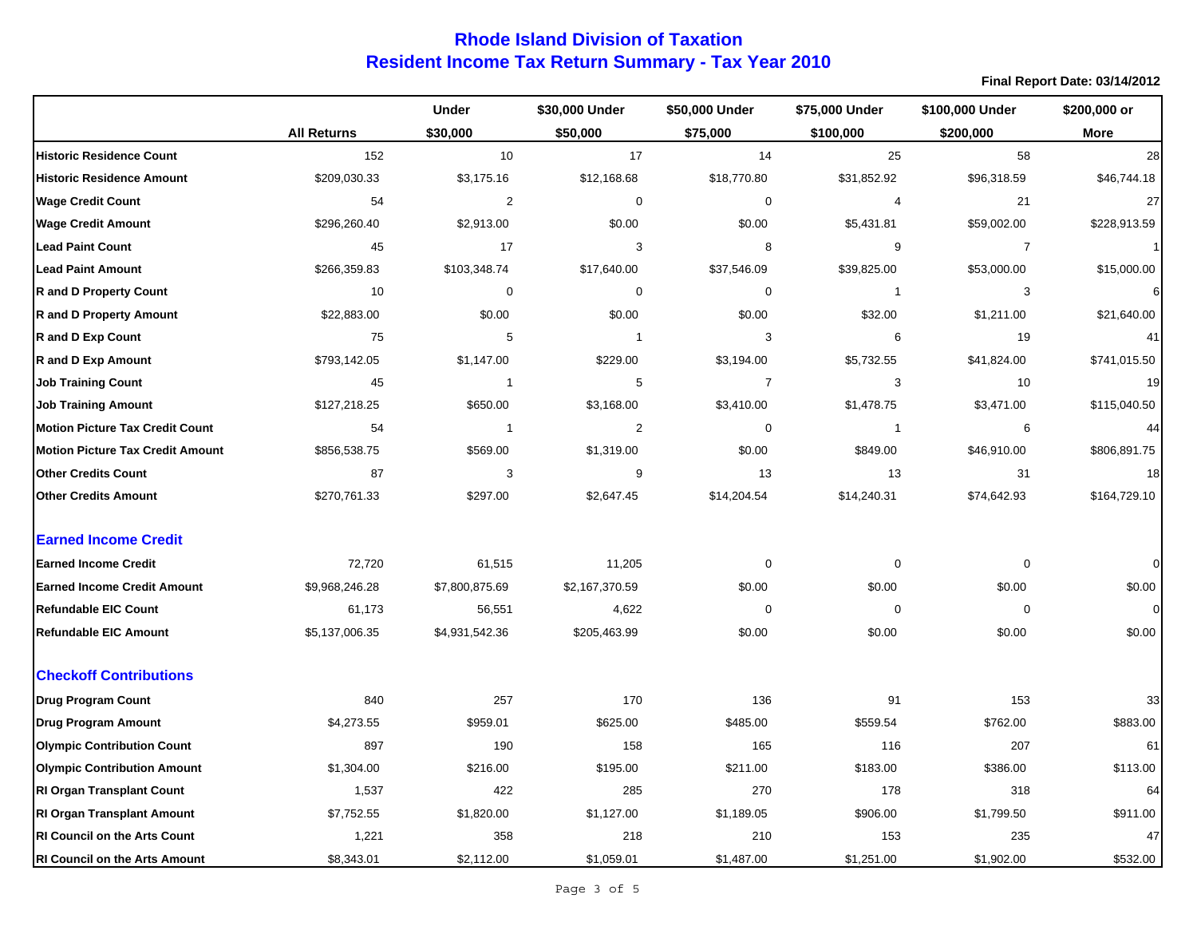# **Resident Income Tax Return Summary - Tax Year 2010 Rhode Island Division of Taxation**

|                                         |                    | <b>Under</b>     | \$30,000 Under          | \$50,000 Under | \$75,000 Under | \$100,000 Under | \$200,000 or |
|-----------------------------------------|--------------------|------------------|-------------------------|----------------|----------------|-----------------|--------------|
|                                         | <b>All Returns</b> | \$30,000         | \$50,000                | \$75,000       | \$100,000      | \$200,000       | More         |
| <b>Historic Residence Count</b>         | 152                | 10               | 17                      | 14             | 25             | 58              | 28           |
| <b>Historic Residence Amount</b>        | \$209,030.33       | \$3,175.16       | \$12,168.68             | \$18,770.80    | \$31,852.92    | \$96,318.59     | \$46,744.18  |
| <b>Wage Credit Count</b>                | 54                 | $\overline{2}$   | $\mathbf 0$             | 0              | 4              | 21              | 27           |
| <b>Wage Credit Amount</b>               | \$296,260.40       | \$2,913.00       | \$0.00                  | \$0.00         | \$5,431.81     | \$59,002.00     | \$228,913.59 |
| <b>Lead Paint Count</b>                 | 45                 | 17               | 3                       | 8              | 9              | $\overline{7}$  | $\mathbf{1}$ |
| <b>Lead Paint Amount</b>                | \$266,359.83       | \$103,348.74     | \$17,640.00             | \$37,546.09    | \$39,825.00    | \$53,000.00     | \$15,000.00  |
| <b>R</b> and D Property Count           | 10                 | $\boldsymbol{0}$ | $\mathbf 0$             | $\mathbf 0$    | $\mathbf{1}$   | 3               | 6            |
| <b>R</b> and D Property Amount          | \$22,883.00        | \$0.00           | \$0.00                  | \$0.00         | \$32.00        | \$1,211.00      | \$21,640.00  |
| <b>R</b> and D Exp Count                | 75                 | 5                | $\overline{\mathbf{1}}$ | 3              | 6              | 19              | 41           |
| <b>R</b> and D Exp Amount               | \$793,142.05       | \$1,147.00       | \$229.00                | \$3,194.00     | \$5,732.55     | \$41,824.00     | \$741,015.50 |
| <b>Job Training Count</b>               | 45                 | $\overline{1}$   | 5                       | $\overline{7}$ | 3              | 10              | 19           |
| <b>Job Training Amount</b>              | \$127,218.25       | \$650.00         | \$3,168.00              | \$3,410.00     | \$1,478.75     | \$3,471.00      | \$115,040.50 |
| <b>Motion Picture Tax Credit Count</b>  | 54                 | $\overline{1}$   | $\overline{2}$          | $\mathbf 0$    | $\mathbf{1}$   | 6               | 44           |
| <b>Motion Picture Tax Credit Amount</b> | \$856,538.75       | \$569.00         | \$1,319.00              | \$0.00         | \$849.00       | \$46,910.00     | \$806,891.75 |
| <b>Other Credits Count</b>              | 87                 | 3                | 9                       | 13             | 13             | 31              | 18           |
| <b>Other Credits Amount</b>             | \$270,761.33       | \$297.00         | \$2,647.45              | \$14,204.54    | \$14,240.31    | \$74,642.93     | \$164,729.10 |
| <b>Earned Income Credit</b>             |                    |                  |                         |                |                |                 |              |
| <b>Earned Income Credit</b>             | 72,720             | 61,515           | 11,205                  | $\mathbf 0$    | $\mathbf 0$    | $\Omega$        | $\mathbf 0$  |
| <b>Earned Income Credit Amount</b>      | \$9,968,246.28     | \$7,800,875.69   | \$2,167,370.59          | \$0.00         | \$0.00         | \$0.00          | \$0.00       |
| <b>Refundable EIC Count</b>             | 61,173             | 56,551           | 4,622                   | 0              | 0              | $\mathbf 0$     | $\mathbf 0$  |
| <b>Refundable EIC Amount</b>            | \$5,137,006.35     | \$4,931,542.36   | \$205,463.99            | \$0.00         | \$0.00         | \$0.00          | \$0.00       |
| <b>Checkoff Contributions</b>           |                    |                  |                         |                |                |                 |              |
| <b>Drug Program Count</b>               | 840                | 257              | 170                     | 136            | 91             | 153             | 33           |
| <b>Drug Program Amount</b>              | \$4,273.55         | \$959.01         | \$625.00                | \$485.00       | \$559.54       | \$762.00        | \$883.00     |
| <b>Olympic Contribution Count</b>       | 897                | 190              | 158                     | 165            | 116            | 207             | 61           |
| <b>Olympic Contribution Amount</b>      | \$1,304.00         | \$216.00         | \$195.00                | \$211.00       | \$183.00       | \$386.00        | \$113.00     |
| <b>RI Organ Transplant Count</b>        | 1,537              | 422              | 285                     | 270            | 178            | 318             | 64           |
| <b>RI Organ Transplant Amount</b>       | \$7,752.55         | \$1,820.00       | \$1,127.00              | \$1,189.05     | \$906.00       | \$1,799.50      | \$911.00     |
| RI Council on the Arts Count            | 1,221              | 358              | 218                     | 210            | 153            | 235             | 47           |
| <b>RI Council on the Arts Amount</b>    | \$8,343.01         | \$2,112.00       | \$1,059.01              | \$1,487.00     | \$1,251.00     | \$1,902.00      | \$532.00     |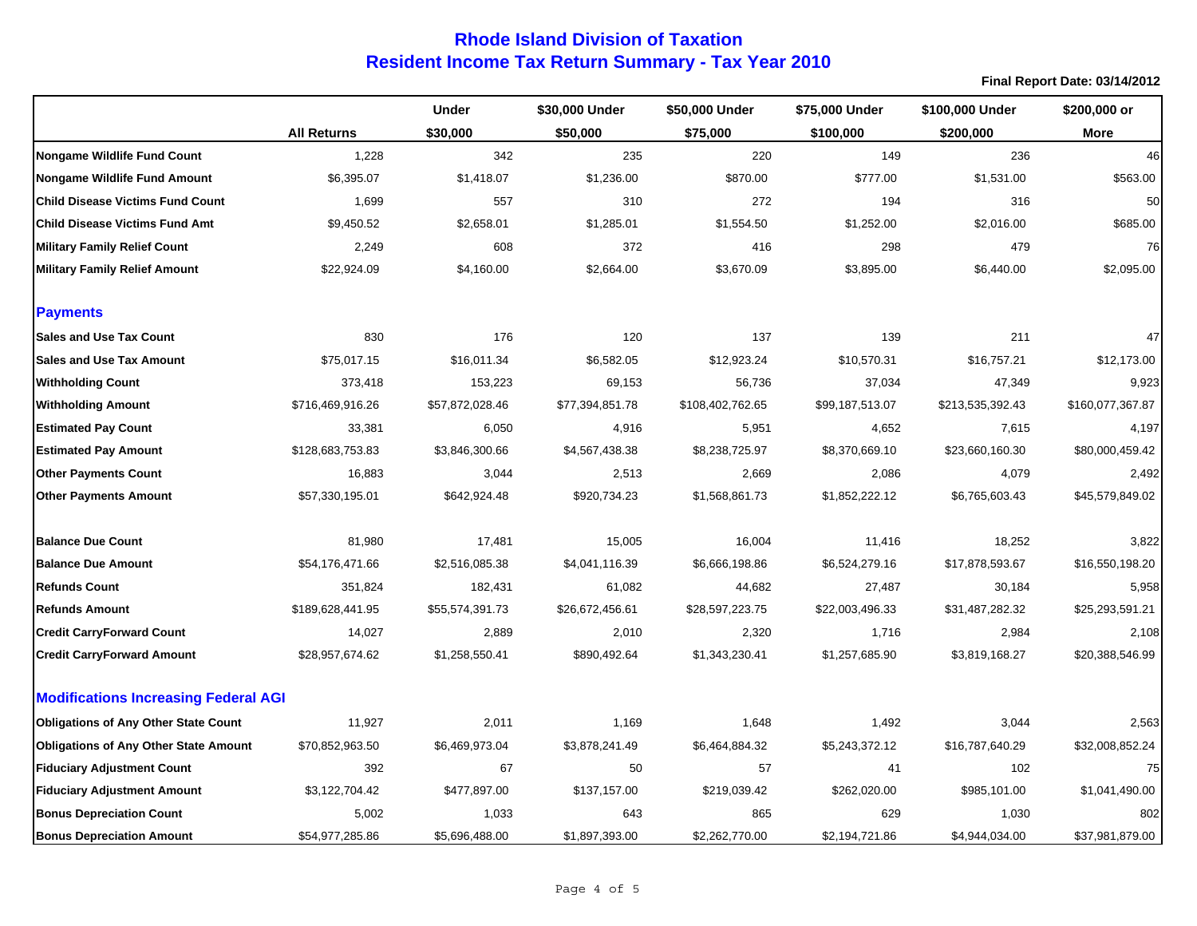|                                              |                    | <b>Under</b>    | \$30,000 Under  | \$50,000 Under   | \$75,000 Under  | \$100,000 Under  | \$200,000 or     |
|----------------------------------------------|--------------------|-----------------|-----------------|------------------|-----------------|------------------|------------------|
|                                              | <b>All Returns</b> | \$30,000        | \$50,000        | \$75,000         | \$100,000       | \$200,000        | More             |
| Nongame Wildlife Fund Count                  | 1,228              | 342             | 235             | 220              | 149             | 236              | 46               |
| Nongame Wildlife Fund Amount                 | \$6,395.07         | \$1,418.07      | \$1,236.00      | \$870.00         | \$777.00        | \$1,531.00       | \$563.00         |
| <b>Child Disease Victims Fund Count</b>      | 1,699              | 557             | 310             | 272              | 194             | 316              | 50               |
| <b>Child Disease Victims Fund Amt</b>        | \$9,450.52         | \$2,658.01      | \$1,285.01      | \$1,554.50       | \$1,252.00      | \$2,016.00       | \$685.00         |
| <b>Military Family Relief Count</b>          | 2,249              | 608             | 372             | 416              | 298             | 479              | 76               |
| <b>Military Family Relief Amount</b>         | \$22,924.09        | \$4,160.00      | \$2,664.00      | \$3,670.09       | \$3,895.00      | \$6,440.00       | \$2,095.00       |
| <b>Payments</b>                              |                    |                 |                 |                  |                 |                  |                  |
| <b>Sales and Use Tax Count</b>               | 830                | 176             | 120             | 137              | 139             | 211              | 47               |
| <b>Sales and Use Tax Amount</b>              | \$75,017.15        | \$16,011.34     | \$6,582.05      | \$12,923.24      | \$10,570.31     | \$16,757.21      | \$12,173.00      |
| <b>Withholding Count</b>                     | 373,418            | 153,223         | 69,153          | 56,736           | 37,034          | 47,349           | 9,923            |
| <b>Withholding Amount</b>                    | \$716,469,916.26   | \$57,872,028.46 | \$77,394,851.78 | \$108,402,762.65 | \$99,187,513.07 | \$213,535,392.43 | \$160,077,367.87 |
| <b>Estimated Pay Count</b>                   | 33,381             | 6,050           | 4,916           | 5,951            | 4,652           | 7,615            | 4,197            |
| <b>Estimated Pay Amount</b>                  | \$128,683,753.83   | \$3,846,300.66  | \$4,567,438.38  | \$8,238,725.97   | \$8,370,669.10  | \$23,660,160.30  | \$80,000,459.42  |
| <b>Other Payments Count</b>                  | 16,883             | 3,044           | 2,513           | 2,669            | 2,086           | 4,079            | 2,492            |
| <b>Other Payments Amount</b>                 | \$57,330,195.01    | \$642,924.48    | \$920,734.23    | \$1,568,861.73   | \$1,852,222.12  | \$6,765,603.43   | \$45,579,849.02  |
| <b>Balance Due Count</b>                     | 81,980             | 17,481          | 15,005          | 16,004           | 11,416          | 18,252           | 3,822            |
| <b>Balance Due Amount</b>                    | \$54,176,471.66    | \$2,516,085.38  | \$4,041,116.39  | \$6,666,198.86   | \$6,524,279.16  | \$17,878,593.67  | \$16,550,198.20  |
| <b>Refunds Count</b>                         | 351,824            | 182,431         | 61,082          | 44,682           | 27,487          | 30,184           | 5,958            |
| <b>Refunds Amount</b>                        | \$189,628,441.95   | \$55,574,391.73 | \$26,672,456.61 | \$28,597,223.75  | \$22,003,496.33 | \$31,487,282.32  | \$25,293,591.21  |
| <b>Credit CarryForward Count</b>             | 14,027             | 2,889           | 2,010           | 2,320            | 1,716           | 2,984            | 2,108            |
| <b>Credit CarryForward Amount</b>            | \$28,957,674.62    | \$1,258,550.41  | \$890,492.64    | \$1,343,230.41   | \$1,257,685.90  | \$3,819,168.27   | \$20,388,546.99  |
| <b>Modifications Increasing Federal AGI</b>  |                    |                 |                 |                  |                 |                  |                  |
| <b>Obligations of Any Other State Count</b>  | 11,927             | 2,011           | 1,169           | 1,648            | 1,492           | 3,044            | 2,563            |
| <b>Obligations of Any Other State Amount</b> | \$70,852,963.50    | \$6,469,973.04  | \$3,878,241.49  | \$6,464,884.32   | \$5,243,372.12  | \$16,787,640.29  | \$32,008,852.24  |
| <b>Fiduciary Adjustment Count</b>            | 392                | 67              | 50              | 57               | 41              | 102              | 75               |
| <b>Fiduciary Adjustment Amount</b>           | \$3,122,704.42     | \$477,897.00    | \$137,157.00    | \$219,039.42     | \$262,020.00    | \$985,101.00     | \$1,041,490.00   |
| <b>Bonus Depreciation Count</b>              | 5,002              | 1,033           | 643             | 865              | 629             | 1,030            | 802              |
| <b>Bonus Depreciation Amount</b>             | \$54,977,285.86    | \$5,696,488.00  | \$1,897,393.00  | \$2,262,770.00   | \$2,194,721.86  | \$4,944,034.00   | \$37,981,879.00  |